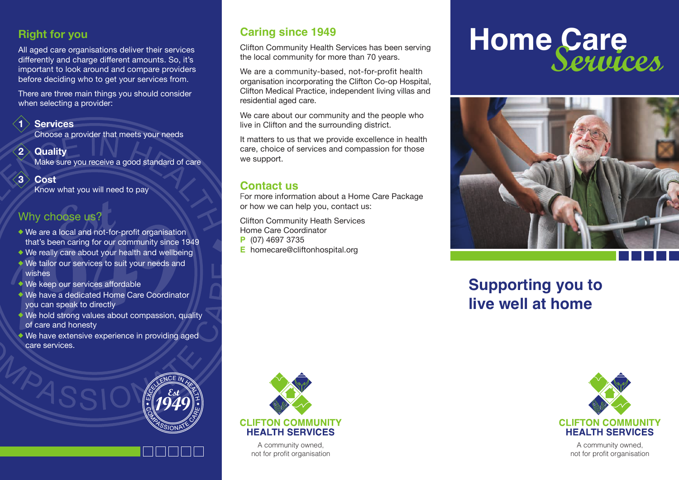### **Right for you**

All aged care organisations deliver their services differently and charge different amounts. So, it's important to look around and compare providers before deciding who to get your services from.

There are three main things you should consider when selecting a provider:

**1 Services** 

Choose a provider that meets your needs

- **2** Quality Make sure you receive a good standard of care
- **3 Cost**

Know what you will need to pay

### Why choose us?

- We are a local and not-for-profit organisation that's been caring for our community since 1949
- We really care about your health and wellbeing
- We tailor our services to suit your needs and wishes
- We keep our services affordable
- We have a dedicated Home Care Coordinator you can speak to directly
- We hold strong values about compassion, quality of care and honesty
- We have extensive experience in providing aged care services.



Clifton Community Health Services has been serving the local community for more than 70 years.

We are a community-based, not-for-profit health organisation incorporating the Clifton Co-op Hospital, Clifton Medical Practice, independent living villas and residential aged care.

We care about our community and the people who live in Clifton and the surrounding district.

It matters to us that we provide excellence in health care, choice of services and compassion for those we support.

### **Contact us**

For more information about a Home Care Package or how we can help you, contact us:

Clifton Community Heath Services Home Care Coordinator

- **P** (07) 4697 3735
- **E** homecare@cliftonhospital.org



A community owned, not for profit organisation

# Caring since 1949<br>Clifton Community Health Services has been serving<br>the local community for more than 70 years Services.



## **Supporting you to live well at home**



A community owned, not for profit organisation